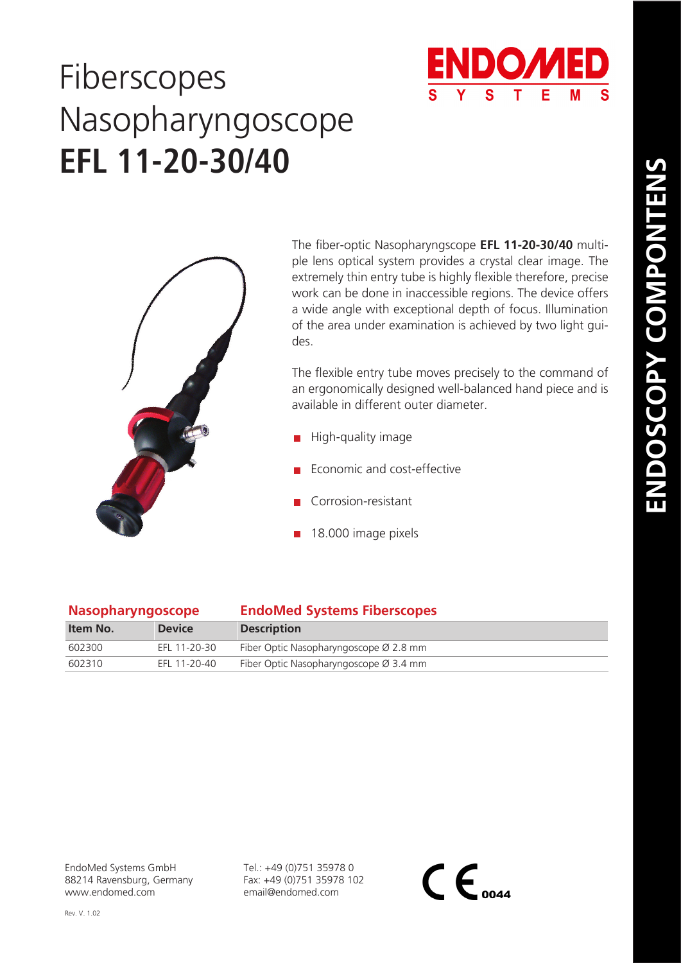## Fiberscopes **EFL 11-20-30/40** Nasopharyngoscope



The fiber-optic Nasopharyngscope **EFL 11-20-30/40** multiple lens optical system provides a crystal clear image. The extremely thin entry tube is highly flexible therefore, precise work can be done in inaccessible regions. The device offers a wide angle with exceptional depth of focus. Illumination of the area under examination is achieved by two light gui-

The flexible entry tube moves precisely to the command of an ergonomically designed well-balanced hand piece and is available in different outer diameter.

- $\blacksquare$  High-quality image
- Economic and cost-effective
- Corrosion-resistant
- 18.000 image pixels

| <b>Nasopharyngoscope</b> |               | <b>EndoMed Systems Fiberscopes</b>                 |
|--------------------------|---------------|----------------------------------------------------|
| Item No.                 | <b>Device</b> | <b>Description</b>                                 |
| 602300                   | EFL 11-20-30  | Fiber Optic Nasopharyngoscope Ø 2.8 mm             |
| 602310                   | EFL 11-20-40  | Fiber Optic Nasopharyngoscope $\varnothing$ 3.4 mm |

Rev. V. 1.02